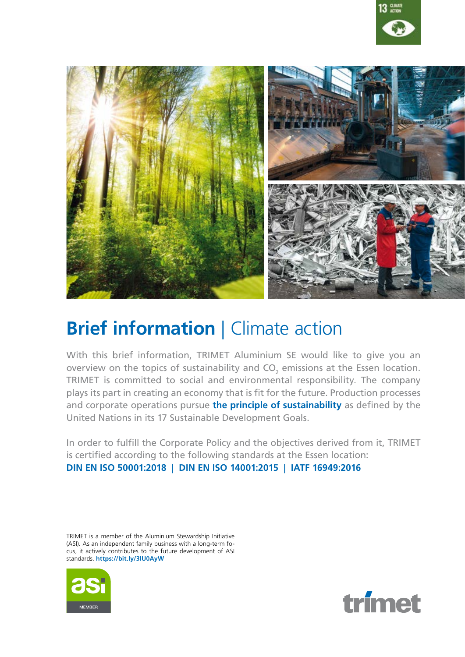



## **Brief information | Climate action**

With this brief information, TRIMET Aluminium SE would like to give you an overview on the topics of sustainability and  $CO_2$  emissions at the Essen location. TRIMET is committed to social and environmental responsibility. The company plays its part in creating an economy that is fit for the future. Production processes and corporate operations pursue **[the principle of sustainability](https://www.trimet.eu/en/trimet/sustainability)** as defined by the United Nations in its 17 Sustainable Development Goals.

In order to fulfill the Corporate Policy and the objectives derived from it, TRIMET is certified according to the following standards at the Essen location: **[DIN EN ISO 50001:2018](https://www.trimet.eu/fileadmin/downloads/de/zertifikate/Zertifikate_TMS/ISO_50001-2018-TASE-2021-12-en.pdf)** | **[DIN EN ISO 14001:2015](https://www.trimet.eu/fileadmin/downloads/de/zertifikate/Zertifikate_TMS/ISO_14001-2015-TASE-2021-12-en.pdf)** | **[IATF 16949:2016](https://www.trimet.eu/fileadmin/downloads/de/zertifikate/Zertifikate_Standort_Essen/iatf-16949-2016-tae-en-2020.pdf)**

TRIMET is a member of the Aluminium Stewardship Initiative (ASI). As an independent family business with a long-term focus, it actively contributes to the future development of ASI standards. **<https://bit.ly/3lU0AyW>**